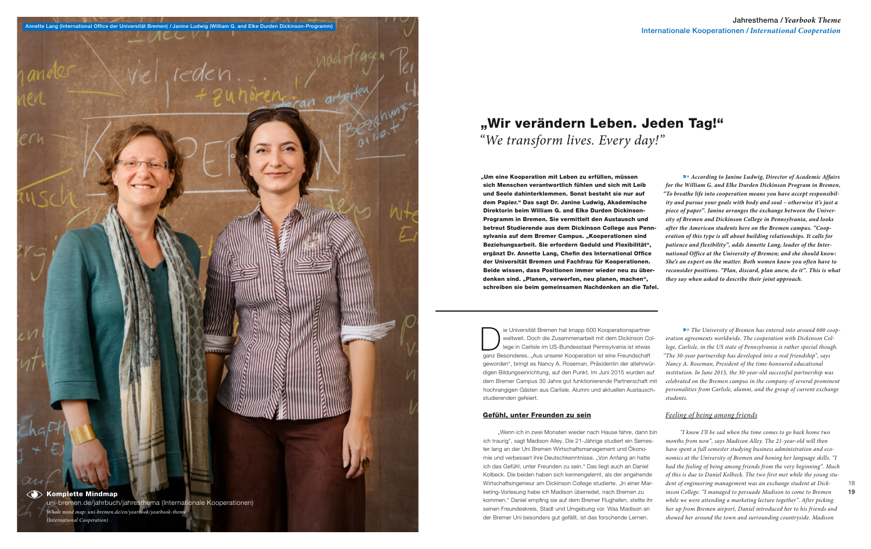#### Gefühl, unter Freunden zu sein

"Wenn ich in zwei Monaten wieder nach Hause fahre, dann bin ich traurig", sagt Madison Alley. Die 21-Jährige studiert ein Semester lang an der Uni Bremen Wirtschaftsmanagement und Ökonomie und verbessert ihre Deutschkenntnisse. "Von Anfang an hatte ich das Gefühl, unter Freunden zu sein." Das liegt auch an Daniel Kolbeck. Die beiden haben sich kennengelernt, als der angehende Wirtschaftsingenieur am Dickinson College studierte. "In einer Marketing-Vorlesung habe ich Madison überredet, nach Bremen zu kommen." Daniel empfing sie auf dem Bremer Flughafen, stellte ihr seinen Freundeskreis, Stadt und Umgebung vor. Was Madison an der Bremer Uni besonders gut gefällt, ist das forschende Lernen.

ie Universität Bremen hat knapp 600 Kooperationspartner weltweit. Doch die Zusammenarbeit mit dem Dickinson College in Carlisle im US-Bundesstaat Pennsylvania ist etwas ganz Besonderes. "Aus unserer Kooperation ist eine Freundschaft geworden", bringt es Nancy A. Roseman, Präsidentin der altehrwürdigen Bildungseinrichtung, auf den Punkt. Im Juni 2015 wurden auf dem Bremer Campus 30 Jahre gut funktionierende Partnerschaft mit hochrangigen Gästen aus Carlisle, Alumni und aktuellen Austauschstudierenden gefeiert.  $\rightarrow$  The University of Bremen has entered into around 600 coop*eration agreements worldwide. The cooperation with Dickinson College, Carlisle, in the US state of Pennsylvania is rather special though. "The 30-year partnership has developed into a real friendship", says Nancy A. Roseman, President of the time-honoured educational institution. In June 2015, the 30-year-old successful partnership was celebrated on the Bremen campus in the company of several prominent personalities from Carlisle, alumni, and the group of current exchange students.* 

#### *Feeling of being among friends*

"Um eine Kooperation mit Leben zu erfüllen, müssen sich Menschen verantwortlich fühlen und sich mit Leib und Seele dahinterklemmen. Sonst besteht sie nur auf dem Papier." Das sagt Dr. Janine Ludwig, Akademische Direktorin beim William G. and Elke Durden Dickinson-Programm in Bremen. Sie vermittelt den Austausch und betreut Studierende aus dem Dickinson College aus Pennsylvania auf dem Bremer Campus. "Kooperationen sind Beziehungsarbeit. Sie erfordern Geduld und Flexibilität", ergänzt Dr. Annette Lang, Chefin des International Office der Universität Bremen und Fachfrau für Kooperationen. Beide wissen, dass Positionen immer wieder neu zu überdenken sind. "Planen, verwerfen, neu planen, machen", schreiben sie beim gemeinsamen Nachdenken an die Tafel. ■ *According to Janine Ludwig, Director of Academic Affairs for the William G. and Elke Durden Dickinson Program in Bremen, "To breathe life into cooperation means you have accept responsibility and pursue your goals with body and soul – otherwise it's just a piece of paper". Janine arranges the exchange between the University of Bremen and Dickinson College in Pennsylvania, and looks after the American students here on the Bremen campus. "Cooperation of this type is all about building relationships. It calls for patience and flexibility", adds Annette Lang, leader of the International Office at the University of Bremen; and she should know: She's an expert on the matter. Both women know you often have to reconsider positions. "Plan, discard, plan anew, do it". This is what they say when asked to describe their joint approach.* 

> *"I know I'll be sad when the time comes to go back home two months from now", says Madison Alley. The 21-year-old will then have spent a full semester studying business administration and economics at the University of Bremen and honing her language skills. "I had the feeling of being among friends from the very beginning". Much of this is due to Daniel Kolbeck. The two first met while the young student of engineering management was an exchange student at Dickinson College. "I managed to persuade Madison to come to Bremen while we were attending a marketing lecture together". After picking her up from Bremen airport, Daniel introduced her to his friends and showed her around the town and surrounding countryside. Madison*

18 19



## "Wir verändern Leben. Jeden Tag!" *"We transform lives. Every day!"*